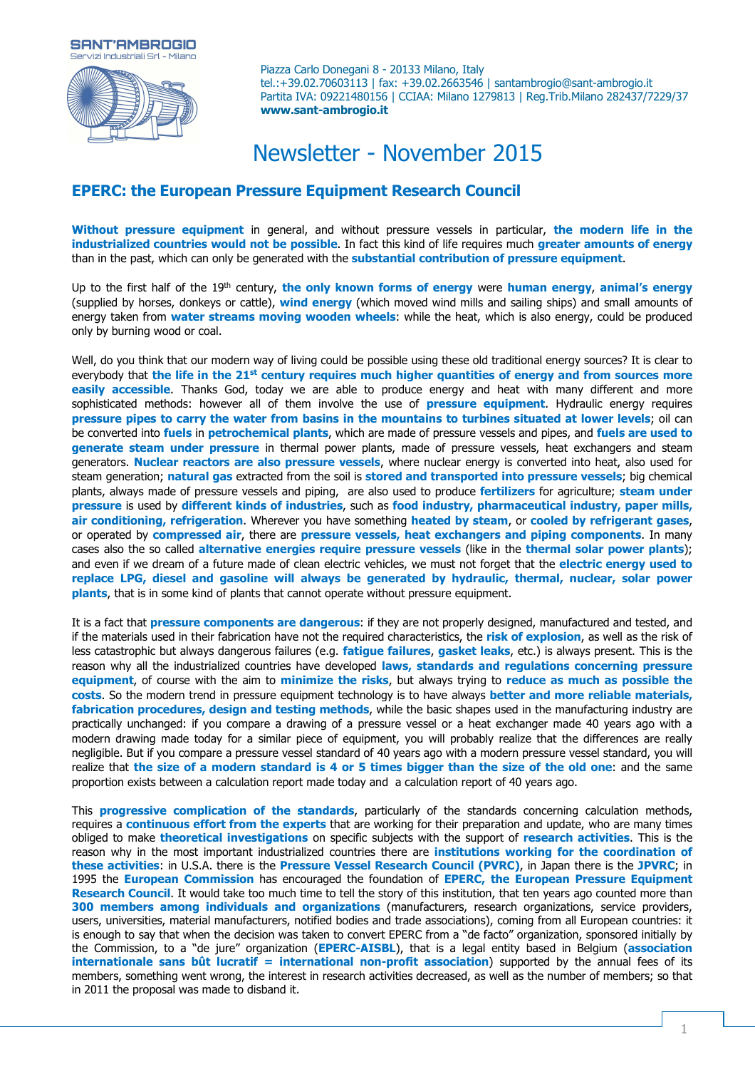

Piazza Carlo Donegani 8 - 20133 Milano, Italy tel.:+39.02.70603113 | fax: +39.02.2663546 | santambrogio@sant-ambrogio.it Partita IVA: 09221480156 | CCIAA: Milano 1279813 | Reg.Trib.Milano 282437/7229/37 **www.sant-ambrogio.it**

# Newsletter - November 2015

## **EPERC: the European Pressure Equipment Research Council**

**Without pressure equipment** in general, and without pressure vessels in particular, **the modern life in the industrialized countries would not be possible**. In fact this kind of life requires much **greater amounts of energy** than in the past, which can only be generated with the **substantial contribution of pressure equipment**.

Up to the first half of the 19th century, **the only known forms of energy** were **human energy**, **animal's energy** (supplied by horses, donkeys or cattle), **wind energy** (which moved wind mills and sailing ships) and small amounts of energy taken from **water streams moving wooden wheels**: while the heat, which is also energy, could be produced only by burning wood or coal.

Well, do you think that our modern way of living could be possible using these old traditional energy sources? It is clear to everybody that **the life in the 21st century requires much higher quantities of energy and from sources more easily accessible**. Thanks God, today we are able to produce energy and heat with many different and more sophisticated methods: however all of them involve the use of **pressure equipment**. Hydraulic energy requires **pressure pipes to carry the water from basins in the mountains to turbines situated at lower levels**; oil can be converted into **fuels** in **petrochemical plants**, which are made of pressure vessels and pipes, and **fuels are used to generate steam under pressure** in thermal power plants, made of pressure vessels, heat exchangers and steam generators. **Nuclear reactors are also pressure vessels**, where nuclear energy is converted into heat, also used for steam generation; **natural gas** extracted from the soil is **stored and transported into pressure vessels**; big chemical plants, always made of pressure vessels and piping, are also used to produce **fertilizers** for agriculture; **steam under pressure** is used by **different kinds of industries**, such as **food industry, pharmaceutical industry, paper mills, air conditioning, refrigeration**. Wherever you have something **heated by steam**, or **cooled by refrigerant gases**, or operated by **compressed air**, there are **pressure vessels, heat exchangers and piping components**. In many cases also the so called **alternative energies require pressure vessels** (like in the **thermal solar power plants**); and even if we dream of a future made of clean electric vehicles, we must not forget that the **electric energy used to replace LPG, diesel and gasoline will always be generated by hydraulic, thermal, nuclear, solar power plants**, that is in some kind of plants that cannot operate without pressure equipment.

It is a fact that **pressure components are dangerous**: if they are not properly designed, manufactured and tested, and if the materials used in their fabrication have not the required characteristics, the **risk of explosion**, as well as the risk of less catastrophic but always dangerous failures (e.g. **fatigue failures**, **gasket leaks**, etc.) is always present. This is the reason why all the industrialized countries have developed **laws, standards and regulations concerning pressure equipment**, of course with the aim to **minimize the risks**, but always trying to **reduce as much as possible the costs**. So the modern trend in pressure equipment technology is to have always **better and more reliable materials, fabrication procedures, design and testing methods**, while the basic shapes used in the manufacturing industry are practically unchanged: if you compare a drawing of a pressure vessel or a heat exchanger made 40 years ago with a modern drawing made today for a similar piece of equipment, you will probably realize that the differences are really negligible. But if you compare a pressure vessel standard of 40 years ago with a modern pressure vessel standard, you will realize that **the size of a modern standard is 4 or 5 times bigger than the size of the old one**: and the same proportion exists between a calculation report made today and a calculation report of 40 years ago.

This **progressive complication of the standards**, particularly of the standards concerning calculation methods, requires a **continuous effort from the experts** that are working for their preparation and update, who are many times obliged to make **theoretical investigations** on specific subjects with the support of **research activities**. This is the reason why in the most important industrialized countries there are **institutions working for the coordination of these activities**: in U.S.A. there is the **Pressure Vessel Research Council (PVRC)**, in Japan there is the **JPVRC**; in 1995 the **European Commission** has encouraged the foundation of **EPERC, the European Pressure Equipment Research Council**. It would take too much time to tell the story of this institution, that ten years ago counted more than **300 members among individuals and organizations** (manufacturers, research organizations, service providers, users, universities, material manufacturers, notified bodies and trade associations), coming from all European countries: it is enough to say that when the decision was taken to convert EPERC from a "de facto" organization, sponsored initially by the Commission, to a "de jure" organization (**EPERC-AISBL**), that is a legal entity based in Belgium (**association internationale sans bût lucratif = international non-profit association**) supported by the annual fees of its members, something went wrong, the interest in research activities decreased, as well as the number of members; so that in 2011 the proposal was made to disband it.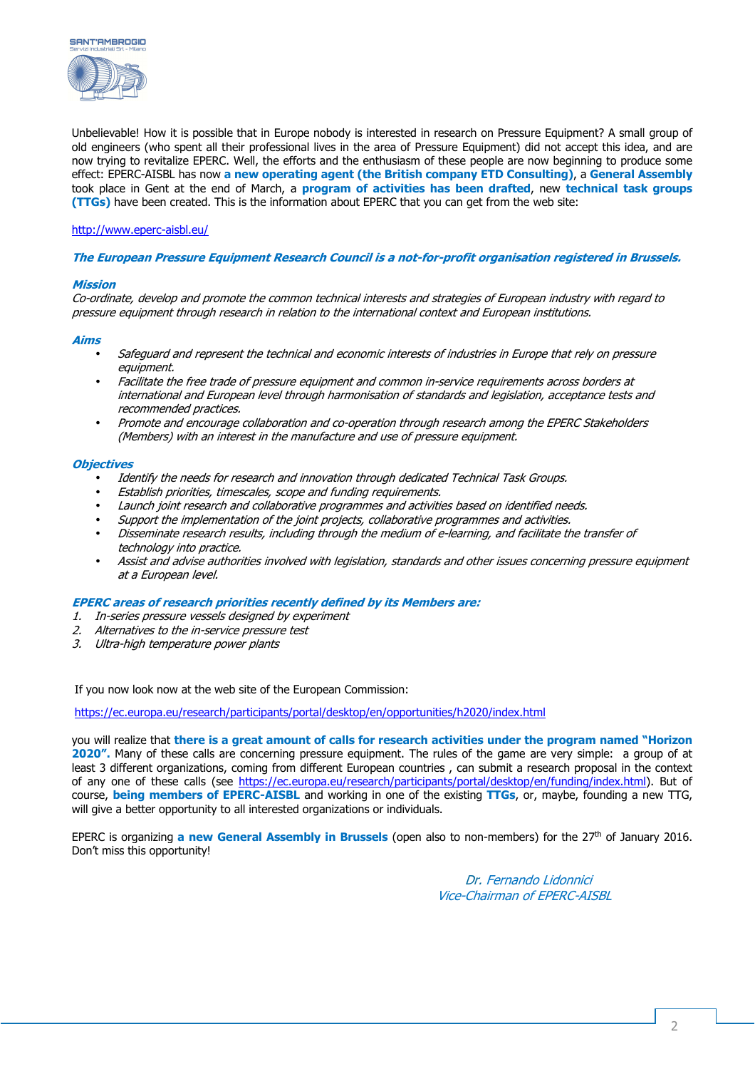



Unbelievable! How it is possible that in Europe nobody is interested in research on Pressure Equipment? A small group of old engineers (who spent all their professional lives in the area of Pressure Equipment) did not accept this idea, and are now trying to revitalize EPERC. Well, the efforts and the enthusiasm of these people are now beginning to produce some effect: EPERC-AISBL has now **a new operating agent (the British company ETD Consulting)**, a **General Assembly** took place in Gent at the end of March, a **program of activities has been drafted**, new **technical task groups (TTGs)** have been created. This is the information about EPERC that you can get from the web site:

#### http://www.eperc-aisbl.eu/

#### **The European Pressure Equipment Research Council is a not-for-profit organisation registered in Brussels.**

#### **Mission**

Co-ordinate, develop and promote the common technical interests and strategies of European industry with regard to pressure equipment through research in relation to the international context and European institutions.

#### **Aims**

- Safeguard and represent the technical and economic interests of industries in Europe that rely on pressure equipment.
- Facilitate the free trade of pressure equipment and common in-service requirements across borders at international and European level through harmonisation of standards and legislation, acceptance tests and recommended practices.
- Promote and encourage collaboration and co-operation through research among the EPERC Stakeholders (Members) with an interest in the manufacture and use of pressure equipment.

#### **Objectives**

- Identify the needs for research and innovation through dedicated Technical Task Groups.
- Establish priorities, timescales, scope and funding requirements.
- Launch joint research and collaborative programmes and activities based on identified needs.
- Support the implementation of the joint projects, collaborative programmes and activities.
- Disseminate research results, including through the medium of e-learning, and facilitate the transfer of technology into practice.
- Assist and advise authorities involved with legislation, standards and other issues concerning pressure equipment at a European level.

#### **EPERC areas of research priorities recently defined by its Members are:**

- 1. In-series pressure vessels designed by experiment
- 2. Alternatives to the in-service pressure test
- 3. Ultra-high temperature power plants

If you now look now at the web site of the European Commission:

https://ec.europa.eu/research/participants/portal/desktop/en/opportunities/h2020/index.html

you will realize that **there is a great amount of calls for research activities under the program named "Horizon 2020".** Many of these calls are concerning pressure equipment. The rules of the game are very simple: a group of at least 3 different organizations, coming from different European countries , can submit a research proposal in the context of any one of these calls (see https://ec.europa.eu/research/participants/portal/desktop/en/funding/index.html). But of course, **being members of EPERC-AISBL** and working in one of the existing **TTGs**, or, maybe, founding a new TTG, will give a better opportunity to all interested organizations or individuals.

EPERC is organizing **a new General Assembly in Brussels** (open also to non-members) for the 27th of January 2016. Don't miss this opportunity!

> Dr. Fernando Lidonnici Vice-Chairman of EPERC-AISBL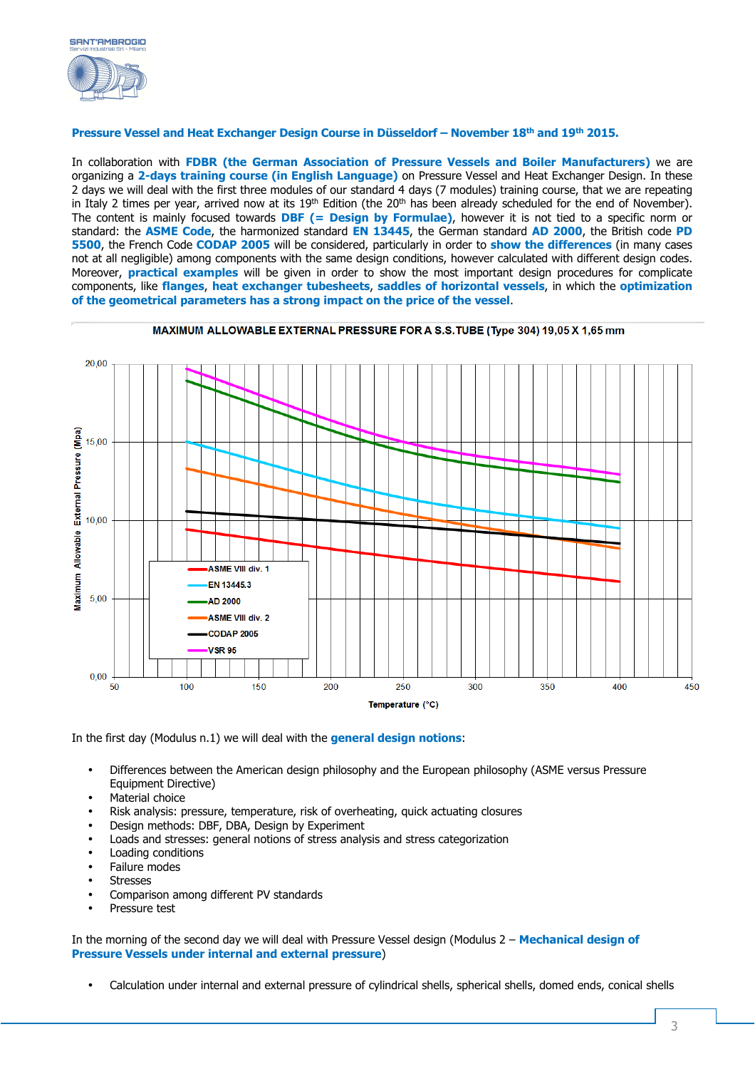

### **Pressure Vessel and Heat Exchanger Design Course in Düsseldorf – November 18th and 19th 2015.**

In collaboration with **FDBR (the German Association of Pressure Vessels and Boiler Manufacturers)** we are organizing a **2-days training course (in English Language)** on Pressure Vessel and Heat Exchanger Design. In these 2 days we will deal with the first three modules of our standard 4 days (7 modules) training course, that we are repeating in Italy 2 times per year, arrived now at its  $19<sup>th</sup>$  Edition (the  $20<sup>th</sup>$  has been already scheduled for the end of November). The content is mainly focused towards **DBF (= Design by Formulae)**, however it is not tied to a specific norm or standard: the **ASME Code**, the harmonized standard **EN 13445**, the German standard **AD 2000**, the British code **PD 5500**, the French Code **CODAP 2005** will be considered, particularly in order to **show the differences** (in many cases not at all negligible) among components with the same design conditions, however calculated with different design codes. Moreover, **practical examples** will be given in order to show the most important design procedures for complicate components, like **flanges**, **heat exchanger tubesheets**, **saddles of horizontal vessels**, in which the **optimization of the geometrical parameters has a strong impact on the price of the vessel**.



In the first day (Modulus n.1) we will deal with the **general design notions**:

- Differences between the American design philosophy and the European philosophy (ASME versus Pressure Equipment Directive)
- Material choice
- Risk analysis: pressure, temperature, risk of overheating, quick actuating closures
- Design methods: DBF, DBA, Design by Experiment
- Loads and stresses: general notions of stress analysis and stress categorization
- Loading conditions
- Failure modes
- **Stresses**
- Comparison among different PV standards
- Pressure test

In the morning of the second day we will deal with Pressure Vessel design (Modulus 2 – **Mechanical design of Pressure Vessels under internal and external pressure**)

• Calculation under internal and external pressure of cylindrical shells, spherical shells, domed ends, conical shells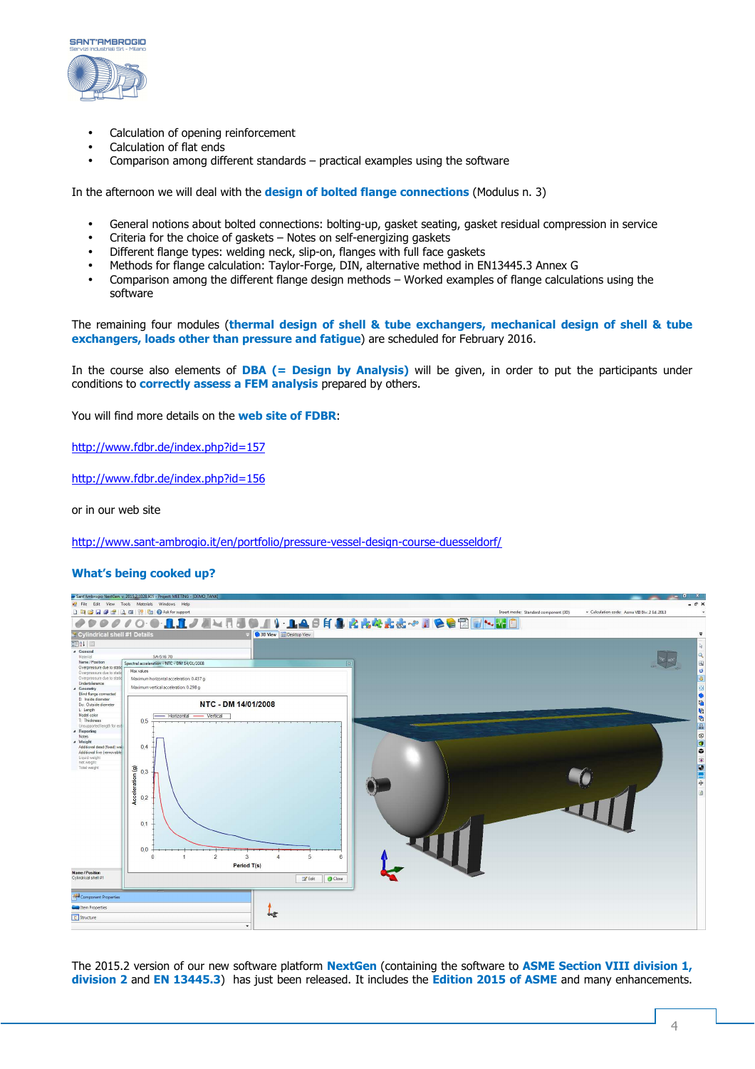

- Calculation of opening reinforcement
- Calculation of flat ends
- Comparison among different standards practical examples using the software

In the afternoon we will deal with the **design of bolted flange connections** (Modulus n. 3)

- General notions about bolted connections: bolting-up, gasket seating, gasket residual compression in service
- Criteria for the choice of gaskets Notes on self-energizing gaskets
- Different flange types: welding neck, slip-on, flanges with full face gaskets
- Methods for flange calculation: Taylor-Forge, DIN, alternative method in EN13445.3 Annex G
- Comparison among the different flange design methods Worked examples of flange calculations using the software

The remaining four modules (**thermal design of shell & tube exchangers, mechanical design of shell & tube exchangers, loads other than pressure and fatigue**) are scheduled for February 2016.

In the course also elements of **DBA (= Design by Analysis)** will be given, in order to put the participants under conditions to **correctly assess a FEM analysis** prepared by others.

You will find more details on the **web site of FDBR**:

http://www.fdbr.de/index.php?id=157

http://www.fdbr.de/index.php?id=156

or in our web site

http://www.sant-ambrogio.it/en/portfolio/pressure-vessel-design-course-duesseldorf/

#### **What's being cooked up?**



The 2015.2 version of our new software platform **NextGen** (containing the software to **ASME Section VIII division 1, division 2** and **EN 13445.3**) has just been released. It includes the **Edition 2015 of ASME** and many enhancements.